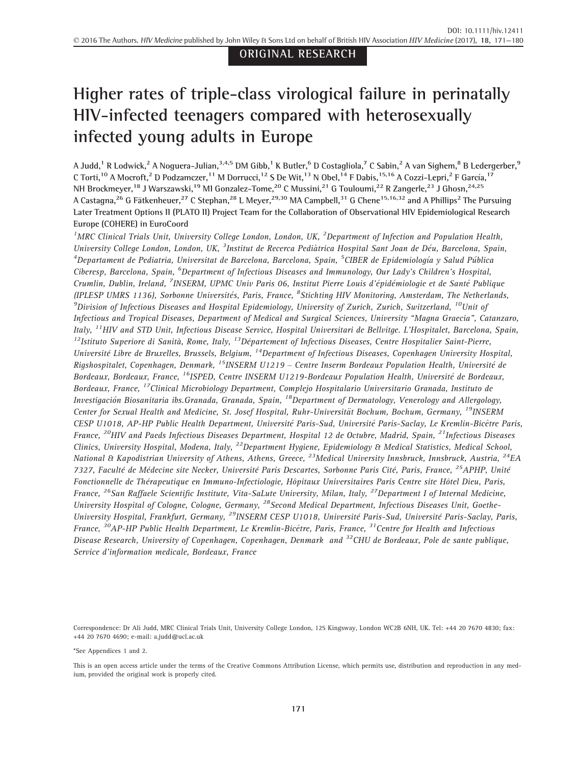# ORIGINAL RESEARCH

# Higher rates of triple-class virological failure in perinatally HIV-infected teenagers compared with heterosexually infected young adults in Europe

A Judd,<sup>1</sup> R Lodwick,<sup>2</sup> A Noguera-Julian,<sup>3,4,5</sup> DM Gibb,<sup>1</sup> K Butler,<sup>6</sup> D Costagliola,<sup>7</sup> C Sabin,<sup>2</sup> A van Sighem,<sup>8</sup> B Ledergerber,<sup>9</sup> C Torti,<sup>10</sup> A Mocroft,<sup>2</sup> D Podzamczer,<sup>11</sup> M Dorrucci,<sup>12</sup> S De Wit,<sup>13</sup> N Obel,<sup>14</sup> F Dabis,<sup>15,16</sup> A Cozzi-Lepri,<sup>2</sup> F García,<sup>17</sup> NH Brockmeyer,<sup>18</sup> J Warszawski,<sup>19</sup> MI Gonzalez-Tome,<sup>20</sup> C Mussini,<sup>21</sup> G Touloumi,<sup>22</sup> R Zangerle,<sup>23</sup> J Ghosn,<sup>24,25</sup> A Castagna,<sup>26</sup> G Fätkenheuer,<sup>27</sup> C Stephan,<sup>28</sup> L Meyer,<sup>29,30</sup> MA Campbell,<sup>31</sup> G Chene<sup>15,16,32</sup> and A Phillips<sup>2</sup> The Pursuing Later Treatment Options II (PLATO II) Project Team for the Collaboration of Observational HIV Epidemiological Research Europe (COHERE) in EuroCoord

<sup>1</sup>MRC Clinical Trials Unit, University College London, London, UK, <sup>2</sup>Department of Infection and Population Health, University College London, London, UK, <sup>3</sup>Institut de Recerca Pediàtrica Hospital Sant Joan de Déu, Barcelona, Spain, <sup>4</sup>Departament de Pediatria, Universitat de Barcelona, Barcelona, Spain, <sup>5</sup>CIBER de Epidemiología y Salud Pública Ciberesp, Barcelona, Spain, <sup>6</sup>Department of Infectious Diseases and Immunology, Our Lady's Children's Hospital, Crumlin, Dublin, Ireland, <sup>7</sup>INSERM, UPMC Univ Paris 06, Institut Pierre Louis d'épidémiologie et de Santé Publique (IPLESP UMRS 1136), Sorbonne Universités, Paris, France, <sup>8</sup>Stichting HIV Monitoring, Amsterdam, The Netherlands,  $^9$ Division of Infectious Diseases and Hospital Epidemiology, University of Zurich, Zurich, Switzerland,  $^{10}$ Unit oj Infectious and Tropical Diseases, Department of Medical and Surgical Sciences, University "Magna Graecia", Catanzaro, Italy, 11HIV and STD Unit, Infectious Disease Service, Hospital Universitari de Bellvitge. L'Hospitalet, Barcelona, Spain, <sup>12</sup>Istituto Superiore di Sanità, Rome, Italy, <sup>13</sup>Département of Infectious Diseases, Centre Hospitalier Saint-Pierre, Universite Libre de Bruxelles, Brussels, Belgium, 14Department of Infectious Diseases, Copenhagen University Hospital, Rigshospitalet, Copenhagen, Denmark, <sup>15</sup>INSERM U1219 - Centre Inserm Bordeaux Population Health, Université de Bordeaux, Bordeaux, France, 16ISPED, Centre INSERM U1219-Bordeaux Population Health, Universite de Bordeaux, Bordeaux, France, 17Clinical Microbiology Department, Complejo Hospitalario Universitario Granada, Instituto de Investigacion Biosanitaria ibs.Granada, Granada, Spain, 18Department of Dermatology, Venerology and Allergology, Center for Sexual Health and Medicine, St. Josef Hospital, Ruhr-Universität Bochum, Bochum, Germany, <sup>19</sup>INSERM CESP U1018, AP-HP Public Health Department, Université Paris-Sud, Université Paris-Saclay, Le Kremlin-Bicêtre Paris, France, <sup>20</sup>HIV and Paeds Infectious Diseases Department, Hospital 12 de Octubre, Madrid, Spain, <sup>21</sup>Infectious Diseases Clinics, University Hospital, Modena, Italy, <sup>22</sup>Department Hygiene, Epidemiology & Medical Statistics, Medical School, National & Kapodistrian University of Athens, Athens, Greece, <sup>23</sup>Medical University Innsbruck, Innsbruck, Austria, <sup>24</sup>EA 7327, Faculté de Médecine site Necker, Université Paris Descartes, Sorbonne Paris Cité, Paris, France, <sup>25</sup>APHP, Unité Fonctionnelle de Thérapeutique en Immuno-Infectiologie, Hôpitaux Universitaires Paris Centre site Hôtel Dieu, Paris, France, <sup>26</sup>San Raffaele Scientific Institute, Vita-SaLute University, Milan, Italy, <sup>27</sup>Department I of Internal Medicine, University Hospital of Cologne, Cologne, Germany, <sup>28</sup>Second Medical Department, Infectious Diseases Unit, Goethe-University Hospital, Frankfurt, Germany, <sup>29</sup>INSERM CESP U1018, Université Paris-Sud, Université Paris-Saclay, Paris, France, <sup>30</sup>AP-HP Public Health Department, Le Kremlin-Bicêtre, Paris, France, <sup>31</sup>Centre for Health and Infectious Disease Research, University of Copenhagen, Copenhagen, Denmark and 32CHU de Bordeaux, Pole de sante publique, Service d'information medicale, Bordeaux, France

\*See Appendices 1 and 2.

This is an open access article under the terms of the [Creative Commons Attribution](http://creativecommons.org/licenses/by/4.0/) License, which permits use, distribution and reproduction in any medium, provided the original work is properly cited.

Correspondence: Dr Ali Judd, MRC Clinical Trials Unit, University College London, 125 Kingsway, London WC2B 6NH, UK. Tel: +44 20 7670 4830; fax: +44 20 7670 4690; e-mail: a.judd@ucl.ac.uk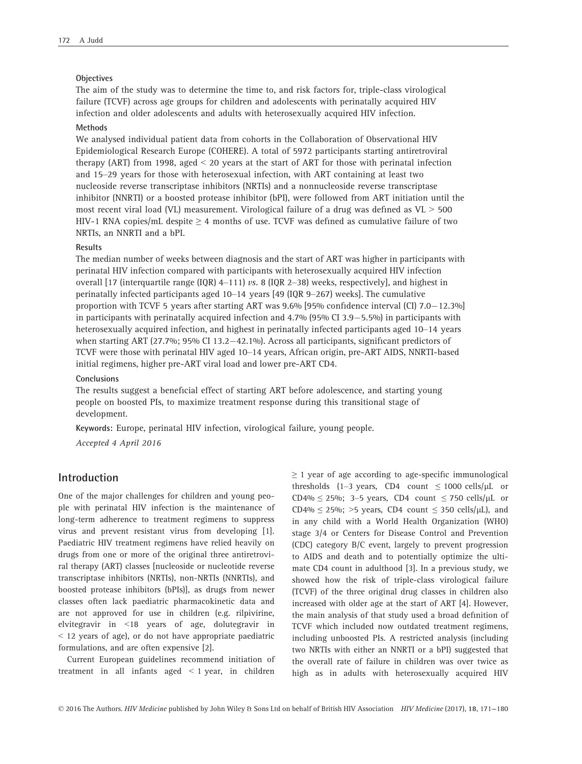#### **Objectives**

The aim of the study was to determine the time to, and risk factors for, triple-class virological failure (TCVF) across age groups for children and adolescents with perinatally acquired HIV infection and older adolescents and adults with heterosexually acquired HIV infection.

#### Methods

We analysed individual patient data from cohorts in the Collaboration of Observational HIV Epidemiological Research Europe (COHERE). A total of 5972 participants starting antiretroviral therapy (ART) from 1998, aged < 20 years at the start of ART for those with perinatal infection and 15–29 years for those with heterosexual infection, with ART containing at least two nucleoside reverse transcriptase inhibitors (NRTIs) and a nonnucleoside reverse transcriptase inhibitor (NNRTI) or a boosted protease inhibitor (bPI), were followed from ART initiation until the most recent viral load (VL) measurement. Virological failure of a drug was defined as VL > 500 HIV-1 RNA copies/mL despite ≥ 4 months of use. TCVF was defined as cumulative failure of two NRTIs, an NNRTI and a bPI.

#### Results

The median number of weeks between diagnosis and the start of ART was higher in participants with perinatal HIV infection compared with participants with heterosexually acquired HIV infection overall [17 (interquartile range (IOR)  $4-111$ ) vs. 8 (IOR 2-38) weeks, respectively], and highest in perinatally infected participants aged 10–14 years [49 (IQR 9–267) weeks]. The cumulative proportion with TCVF 5 years after starting ART was  $9.6\%$  [95% confidence interval (CI) 7.0 - 12.3%] in participants with perinatally acquired infection and  $4.7\%$  (95% CI 3.9–5.5%) in participants with heterosexually acquired infection, and highest in perinatally infected participants aged 10–14 years when starting ART (27.7%; 95% CI 13.2-42.1%). Across all participants, significant predictors of TCVF were those with perinatal HIV aged 10–14 years, African origin, pre-ART AIDS, NNRTI-based initial regimens, higher pre-ART viral load and lower pre-ART CD4.

#### **Conclusions**

The results suggest a beneficial effect of starting ART before adolescence, and starting young people on boosted PIs, to maximize treatment response during this transitional stage of development.

Keywords: Europe, perinatal HIV infection, virological failure, young people.

Accepted 4 April 2016

## Introduction

One of the major challenges for children and young people with perinatal HIV infection is the maintenance of long-term adherence to treatment regimens to suppress virus and prevent resistant virus from developing [1]. Paediatric HIV treatment regimens have relied heavily on drugs from one or more of the original three antiretroviral therapy (ART) classes [nucleoside or nucleotide reverse transcriptase inhibitors (NRTIs), non-NRTIs (NNRTIs), and boosted protease inhibitors (bPIs)], as drugs from newer classes often lack paediatric pharmacokinetic data and are not approved for use in children (e.g. rilpivirine, elvitegravir in <18 years of age, dolutegravir in < 12 years of age), or do not have appropriate paediatric formulations, and are often expensive [2].

Current European guidelines recommend initiation of treatment in all infants aged < 1 year, in children  $\geq$  1 year of age according to age-specific immunological thresholds (1–3 years, CD4 count  $\leq$  1000 cells/ $\mu$ L or CD4%  $\leq$  25%; 3–5 years, CD4 count  $\leq$  750 cells/ $\mu$ L or CD4%  $\leq$  25%; >5 years, CD4 count  $\leq$  350 cells/µL), and in any child with a World Health Organization (WHO) stage 3/4 or Centers for Disease Control and Prevention (CDC) category B/C event, largely to prevent progression to AIDS and death and to potentially optimize the ultimate CD4 count in adulthood [3]. In a previous study, we showed how the risk of triple-class virological failure (TCVF) of the three original drug classes in children also increased with older age at the start of ART [4]. However, the main analysis of that study used a broad definition of TCVF which included now outdated treatment regimens, including unboosted PIs. A restricted analysis (including two NRTIs with either an NNRTI or a bPI) suggested that the overall rate of failure in children was over twice as high as in adults with heterosexually acquired HIV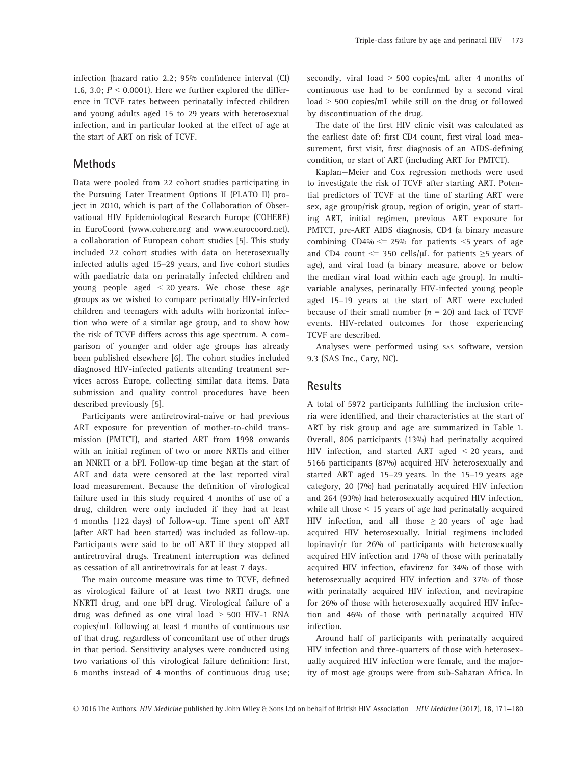infection (hazard ratio 2.2; 95% confidence interval (CI) 1.6, 3.0;  $P \le 0.0001$ ). Here we further explored the difference in TCVF rates between perinatally infected children and young adults aged 15 to 29 years with heterosexual infection, and in particular looked at the effect of age at the start of ART on risk of TCVF.

#### Methods

Data were pooled from 22 cohort studies participating in the Pursuing Later Treatment Options II (PLATO II) project in 2010, which is part of the Collaboration of Observational HIV Epidemiological Research Europe (COHERE) in EuroCoord (www.cohere.org and www.eurocoord.net), a collaboration of European cohort studies [5]. This study included 22 cohort studies with data on heterosexually infected adults aged 15–29 years, and five cohort studies with paediatric data on perinatally infected children and young people aged  $\leq$  20 years. We chose these age groups as we wished to compare perinatally HIV-infected children and teenagers with adults with horizontal infection who were of a similar age group, and to show how the risk of TCVF differs across this age spectrum. A comparison of younger and older age groups has already been published elsewhere [6]. The cohort studies included diagnosed HIV-infected patients attending treatment services across Europe, collecting similar data items. Data submission and quality control procedures have been described previously [5].

Participants were antiretroviral-naïve or had previous ART exposure for prevention of mother-to-child transmission (PMTCT), and started ART from 1998 onwards with an initial regimen of two or more NRTIs and either an NNRTI or a bPI. Follow-up time began at the start of ART and data were censored at the last reported viral load measurement. Because the definition of virological failure used in this study required 4 months of use of a drug, children were only included if they had at least 4 months (122 days) of follow-up. Time spent off ART (after ART had been started) was included as follow-up. Participants were said to be off ART if they stopped all antiretroviral drugs. Treatment interruption was defined as cessation of all antiretrovirals for at least 7 days.

The main outcome measure was time to TCVF, defined as virological failure of at least two NRTI drugs, one NNRTI drug, and one bPI drug. Virological failure of a drug was defined as one viral load > 500 HIV-1 RNA copies/mL following at least 4 months of continuous use of that drug, regardless of concomitant use of other drugs in that period. Sensitivity analyses were conducted using two variations of this virological failure definition: first, 6 months instead of 4 months of continuous drug use; secondly, viral load > 500 copies/mL after 4 months of continuous use had to be confirmed by a second viral load > 500 copies/mL while still on the drug or followed by discontinuation of the drug.

The date of the first HIV clinic visit was calculated as the earliest date of: first CD4 count, first viral load measurement, first visit, first diagnosis of an AIDS-defining condition, or start of ART (including ART for PMTCT).

Kaplan-Meier and Cox regression methods were used to investigate the risk of TCVF after starting ART. Potential predictors of TCVF at the time of starting ART were sex, age group/risk group, region of origin, year of starting ART, initial regimen, previous ART exposure for PMTCT, pre-ART AIDS diagnosis, CD4 (a binary measure combining  $CD4\% \le 25\%$  for patients  $\le 5$  years of age and CD4 count  $\leq$  350 cells/µL for patients  $\geq$ 5 years of age), and viral load (a binary measure, above or below the median viral load within each age group). In multivariable analyses, perinatally HIV-infected young people aged 15–19 years at the start of ART were excluded because of their small number  $(n = 20)$  and lack of TCVF events. HIV-related outcomes for those experiencing TCVF are described.

Analyses were performed using SAS software, version 9.3 (SAS Inc., Cary, NC).

#### Results

A total of 5972 participants fulfilling the inclusion criteria were identified, and their characteristics at the start of ART by risk group and age are summarized in Table 1. Overall, 806 participants (13%) had perinatally acquired HIV infection, and started ART aged < 20 years, and 5166 participants (87%) acquired HIV heterosexually and started ART aged 15–29 years. In the 15–19 years age category, 20 (7%) had perinatally acquired HIV infection and 264 (93%) had heterosexually acquired HIV infection, while all those  $\leq$  15 years of age had perinatally acquired HIV infection, and all those  $\geq$  20 years of age had acquired HIV heterosexually. Initial regimens included lopinavir/r for 26% of participants with heterosexually acquired HIV infection and 17% of those with perinatally acquired HIV infection, efavirenz for 34% of those with heterosexually acquired HIV infection and 37% of those with perinatally acquired HIV infection, and nevirapine for 26% of those with heterosexually acquired HIV infection and 46% of those with perinatally acquired HIV infection.

Around half of participants with perinatally acquired HIV infection and three-quarters of those with heterosexually acquired HIV infection were female, and the majority of most age groups were from sub-Saharan Africa. In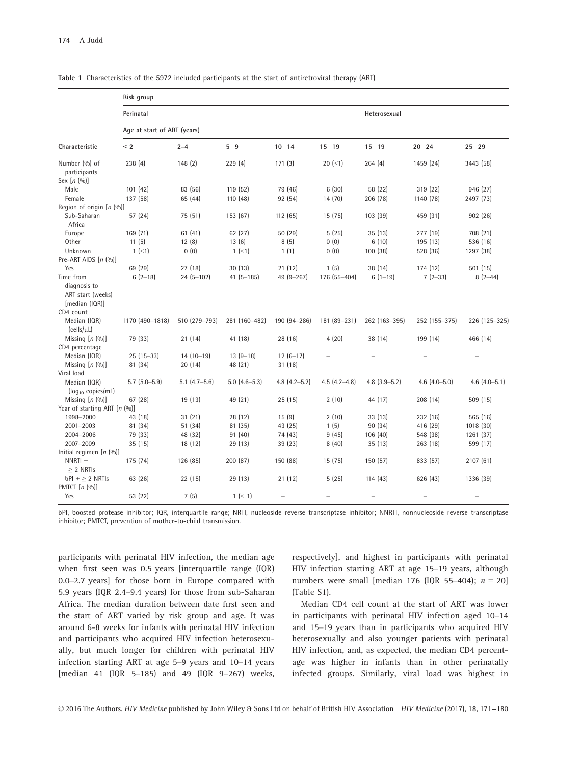|                                                                  | Risk group                  |                |                   |                   |                   |                     |                   |                   |  |  |  |  |
|------------------------------------------------------------------|-----------------------------|----------------|-------------------|-------------------|-------------------|---------------------|-------------------|-------------------|--|--|--|--|
|                                                                  | Perinatal                   |                |                   | Heterosexual      |                   |                     |                   |                   |  |  |  |  |
| Characteristic                                                   | Age at start of ART (years) |                |                   |                   |                   |                     |                   |                   |  |  |  |  |
|                                                                  | < 2                         | $2 - 4$        | $5 - 9$           | $10 - 14$         | $15 - 19$         | $15 - 19$           | $20 - 24$         | $25 - 29$         |  |  |  |  |
| Number (%) of<br>participants<br>Sex $[n (0/0)]$                 | 238(4)                      | 148(2)         | 229(4)            | 171(3)            | $20 (=1)$         | 264(4)              | 1459 (24)         | 3443 (58)         |  |  |  |  |
| Male                                                             | 101(42)                     | 83 (56)        | 119 (52)          | 79 (46)           | 6(30)             | 58 (22)             | 319 (22)          | 946 (27)          |  |  |  |  |
| Female                                                           | 137 (58)                    | 65 (44)        | 110 (48)          | 92 (54)           | 14 (70)           | 206 (78)            | 1140 (78)         | 2497 (73)         |  |  |  |  |
| Region of origin $[n (96)]$                                      |                             |                |                   |                   |                   |                     |                   |                   |  |  |  |  |
| Sub-Saharan<br>Africa                                            | 57 (24)                     | 75 (51)        | 153 (67)          | 112 (65)          | 15(75)            | 103(39)             | 459 (31)          | 902 (26)          |  |  |  |  |
| Europe                                                           | 169 (71)                    | 61(41)         | 62(27)            | 50 (29)           | 5(25)             | 35(13)              | 277 (19)          | 708 (21)          |  |  |  |  |
| Other                                                            | 11(5)                       | 12(8)          | 13(6)             | 8(5)              | 0(0)              | 6(10)               | 195 (13)          | 536 (16)          |  |  |  |  |
| Unknown                                                          | $1 (-1)$                    | 0(0)           | $1 (-1)$          | 1(1)              | 0(0)              | 100(38)             | 528 (36)          | 1297 (38)         |  |  |  |  |
| Pre-ART AIDS [n (%)]                                             |                             |                |                   |                   |                   |                     |                   |                   |  |  |  |  |
| Yes                                                              | 69 (29)                     | 27 (18)        | 30(13)            | 21(12)            | 1(5)              | 38 (14)             | 174 (12)          | 501(15)           |  |  |  |  |
| Time from<br>diagnosis to<br>ART start (weeks)<br>[median (IQR)] | $6(2-18)$                   | $24(5-102)$    | $41(5 - 185)$     | 49 (9-267)        | 176 (55-404)      | $6(1-19)$           | $7(2-33)$         | $8(2-44)$         |  |  |  |  |
| CD4 count                                                        |                             |                |                   |                   |                   |                     |                   |                   |  |  |  |  |
| Median (IQR)<br>(cells/µL)                                       | 1170 (490-1818)             | 510 (279-793)  | 281 (160-482)     | 190 (94-286)      | 181 (89-231)      | 262 (163-395)       | 252 (155-375)     | 226 (125-325)     |  |  |  |  |
| Missing $[n (90)]$                                               | 79 (33)                     | 21(14)         | 41 (18)           | 28 (16)           | 4(20)             | 38 (14)             | 199 (14)          | 466 (14)          |  |  |  |  |
| CD4 percentage                                                   |                             |                |                   |                   |                   |                     |                   |                   |  |  |  |  |
| Median (IQR)                                                     | $25(15-33)$                 | $14(10-19)$    | $13(9-18)$        | $12(6-17)$        |                   |                     |                   |                   |  |  |  |  |
| Missing $[n (96)]$                                               | 81 (34)                     | 20(14)         | 48 (21)           | 31 (18)           |                   |                     |                   |                   |  |  |  |  |
| Viral load                                                       |                             |                |                   |                   |                   |                     |                   |                   |  |  |  |  |
| Median (IQR)                                                     | $5.7$ $(5.0 - 5.9)$         | $5.1(4.7-5.6)$ | $5.0$ $(4.6-5.3)$ | 4.8 $(4.2 - 5.2)$ | 4.5 $(4.2 - 4.8)$ | $4.8$ $(3.9 - 5.2)$ | 4.6 $(4.0 - 5.0)$ | 4.6 $(4.0 - 5.1)$ |  |  |  |  |
| $(log_{10}$ copies/mL)                                           |                             |                |                   |                   |                   |                     |                   |                   |  |  |  |  |
| Missing $[n (96)]$                                               | 67(28)                      | 19(13)         | 49 (21)           | 25(15)            | 2(10)             | 44 (17)             | 208 (14)          | 509 (15)          |  |  |  |  |
| Year of starting ART [n (%)]                                     |                             |                |                   |                   |                   |                     |                   |                   |  |  |  |  |
| 1998-2000                                                        | 43 (18)                     | 31(21)         | 28 (12)           | 15(9)             | 2(10)             | 33 (13)             | 232 (16)          | 565 (16)          |  |  |  |  |
| 2001-2003                                                        | 81 (34)                     | 51 (34)        | 81 (35)           | 43 (25)           | 1(5)              | 90 (34)             | 416 (29)          | 1018 (30)         |  |  |  |  |
| 2004-2006                                                        | 79 (33)                     | 48 (32)        | 91 (40)           | 74 (43)           | 9(45)             | 106(40)             | 548 (38)          | 1261 (37)         |  |  |  |  |
| 2007-2009                                                        | 35(15)                      | 18(12)         | 29(13)            | 39 (23)           | 8(40)             | 35(13)              | 263 (18)          | 599 (17)          |  |  |  |  |
| Initial regimen $[n (96)]$                                       |                             |                |                   |                   |                   |                     |                   |                   |  |  |  |  |
| $NNRTI +$<br>$> 2$ NRTIs                                         | 175 (74)                    | 126 (85)       | 200 (87)          | 150 (88)          | 15(75)            | 150(57)             | 833 (57)          | 2107 (61)         |  |  |  |  |
| $bPI + \geq 2$ NRTIs<br>PMTCT $[n (96)]$                         | 63 (26)                     | 22 (15)        | 29 (13)           | 21 (12)           | 5(25)             | 114(43)             | 626 (43)          | 1336 (39)         |  |  |  |  |
| Yes                                                              | 53 (22)                     | 7(5)           | 1 (< 1)           |                   |                   |                     |                   |                   |  |  |  |  |

Table 1 Characteristics of the 5972 included participants at the start of antiretroviral therapy (ART)

bPI, boosted protease inhibitor; IQR, interquartile range; NRTI, nucleoside reverse transcriptase inhibitor; NNRTI, nonnucleoside reverse transcriptase inhibitor; PMTCT, prevention of mother-to-child transmission.

participants with perinatal HIV infection, the median age when first seen was 0.5 years [interquartile range (IQR) 0.0–2.7 years] for those born in Europe compared with 5.9 years (IQR 2.4–9.4 years) for those from sub-Saharan Africa. The median duration between date first seen and the start of ART varied by risk group and age. It was around 6-8 weeks for infants with perinatal HIV infection and participants who acquired HIV infection heterosexually, but much longer for children with perinatal HIV infection starting ART at age 5–9 years and 10–14 years [median 41 (IQR 5–185) and 49 (IQR 9–267) weeks, respectively], and highest in participants with perinatal HIV infection starting ART at age 15–19 years, although numbers were small [median 176 (IQR 55-404);  $n = 20$ ] (Table S1).

Median CD4 cell count at the start of ART was lower in participants with perinatal HIV infection aged 10–14 and 15–19 years than in participants who acquired HIV heterosexually and also younger patients with perinatal HIV infection, and, as expected, the median CD4 percentage was higher in infants than in other perinatally infected groups. Similarly, viral load was highest in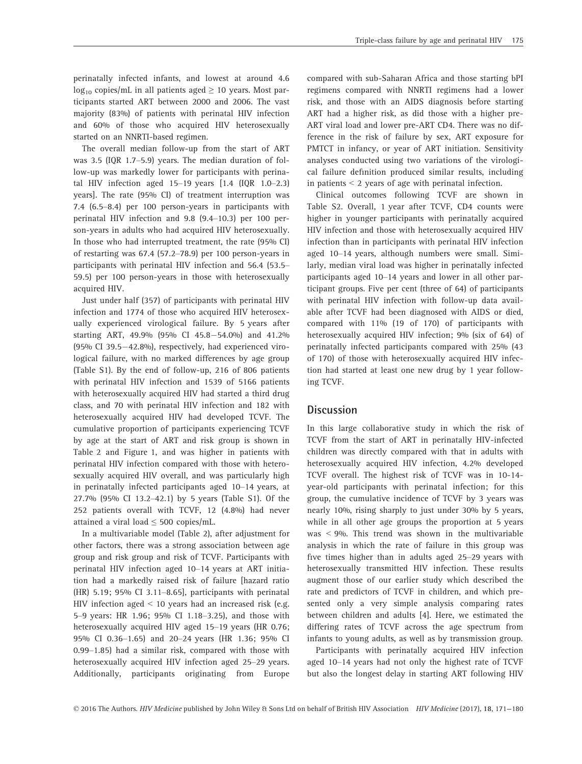perinatally infected infants, and lowest at around 4.6  $log_{10}$  copies/mL in all patients aged  $\geq 10$  years. Most participants started ART between 2000 and 2006. The vast majority (83%) of patients with perinatal HIV infection and 60% of those who acquired HIV heterosexually started on an NNRTI-based regimen.

The overall median follow-up from the start of ART was 3.5 (IQR 1.7–5.9) years. The median duration of follow-up was markedly lower for participants with perinatal HIV infection aged  $15-19$  years  $[1.4 \text{ (IQR } 1.0-2.3)]$ years]. The rate (95% CI) of treatment interruption was 7.4 (6.5–8.4) per 100 person-years in participants with perinatal HIV infection and 9.8 (9.4–10.3) per 100 person-years in adults who had acquired HIV heterosexually. In those who had interrupted treatment, the rate (95% CI) of restarting was 67.4 (57.2–78.9) per 100 person-years in participants with perinatal HIV infection and 56.4 (53.5– 59.5) per 100 person-years in those with heterosexually acquired HIV.

Just under half (357) of participants with perinatal HIV infection and 1774 of those who acquired HIV heterosexually experienced virological failure. By 5 years after starting ART, 49.9% (95% CI 45.8–54.0%) and 41.2% (95% CI 39.5 $-42.8%$ ), respectively, had experienced virological failure, with no marked differences by age group (Table S1). By the end of follow-up, 216 of 806 patients with perinatal HIV infection and 1539 of 5166 patients with heterosexually acquired HIV had started a third drug class, and 70 with perinatal HIV infection and 182 with heterosexually acquired HIV had developed TCVF. The cumulative proportion of participants experiencing TCVF by age at the start of ART and risk group is shown in Table 2 and Figure 1, and was higher in patients with perinatal HIV infection compared with those with heterosexually acquired HIV overall, and was particularly high in perinatally infected participants aged 10–14 years, at 27.7% (95% CI 13.2–42.1) by 5 years (Table S1). Of the 252 patients overall with TCVF, 12 (4.8%) had never attained a viral load  $\leq$  500 copies/mL.

In a multivariable model (Table 2), after adjustment for other factors, there was a strong association between age group and risk group and risk of TCVF. Participants with perinatal HIV infection aged 10–14 years at ART initiation had a markedly raised risk of failure [hazard ratio (HR) 5.19; 95% CI 3.11–8.65], participants with perinatal HIV infection aged < 10 years had an increased risk (e.g. 5–9 years: HR 1.96; 95% CI 1.18–3.25), and those with heterosexually acquired HIV aged 15–19 years (HR 0.76; 95% CI 0.36–1.65) and 20–24 years (HR 1.36; 95% CI 0.99–1.85) had a similar risk, compared with those with heterosexually acquired HIV infection aged 25–29 years. Additionally, participants originating from Europe compared with sub-Saharan Africa and those starting bPI regimens compared with NNRTI regimens had a lower risk, and those with an AIDS diagnosis before starting ART had a higher risk, as did those with a higher pre-ART viral load and lower pre-ART CD4. There was no difference in the risk of failure by sex, ART exposure for PMTCT in infancy, or year of ART initiation. Sensitivity analyses conducted using two variations of the virological failure definition produced similar results, including in patients < 2 years of age with perinatal infection.

Clinical outcomes following TCVF are shown in Table S2. Overall, 1 year after TCVF, CD4 counts were higher in younger participants with perinatally acquired HIV infection and those with heterosexually acquired HIV infection than in participants with perinatal HIV infection aged 10–14 years, although numbers were small. Similarly, median viral load was higher in perinatally infected participants aged 10–14 years and lower in all other participant groups. Five per cent (three of 64) of participants with perinatal HIV infection with follow-up data available after TCVF had been diagnosed with AIDS or died, compared with 11% (19 of 170) of participants with heterosexually acquired HIV infection; 9% (six of 64) of perinatally infected participants compared with 25% (43 of 170) of those with heterosexually acquired HIV infection had started at least one new drug by 1 year following TCVF.

### Discussion

In this large collaborative study in which the risk of TCVF from the start of ART in perinatally HIV-infected children was directly compared with that in adults with heterosexually acquired HIV infection, 4.2% developed TCVF overall. The highest risk of TCVF was in 10-14 year-old participants with perinatal infection; for this group, the cumulative incidence of TCVF by 3 years was nearly 10%, rising sharply to just under 30% by 5 years, while in all other age groups the proportion at 5 years was < 9%. This trend was shown in the multivariable analysis in which the rate of failure in this group was five times higher than in adults aged 25–29 years with heterosexually transmitted HIV infection. These results augment those of our earlier study which described the rate and predictors of TCVF in children, and which presented only a very simple analysis comparing rates between children and adults [4]. Here, we estimated the differing rates of TCVF across the age spectrum from infants to young adults, as well as by transmission group.

Participants with perinatally acquired HIV infection aged 10–14 years had not only the highest rate of TCVF but also the longest delay in starting ART following HIV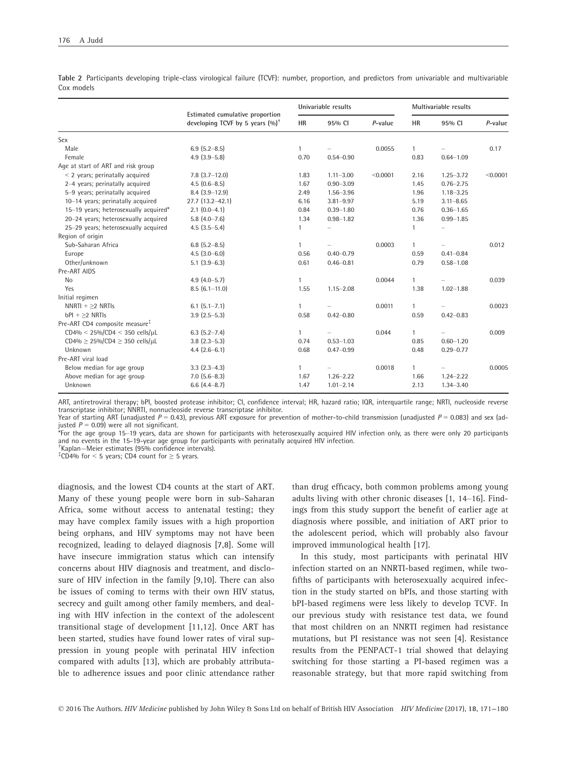Table 2 Participants developing triple-class virological failure (TCVF): number, proportion, and predictors from univariable and multivariable Cox models

|                                            | Estimated cumulative proportion<br>developing TCVF by 5 years $(%)^{\dagger}$ | Univariable results |               |          | Multivariable results |               |          |
|--------------------------------------------|-------------------------------------------------------------------------------|---------------------|---------------|----------|-----------------------|---------------|----------|
|                                            |                                                                               | <b>HR</b>           | 95% CI        | P-value  | <b>HR</b>             | 95% CI        | P-value  |
| Sex                                        |                                                                               |                     |               |          |                       |               |          |
| Male                                       | $6.9$ $(5.2 - 8.5)$                                                           | $\mathbf{1}$        |               | 0.0055   | $\mathbf{1}$          |               | 0.17     |
| Female                                     | $4.9(3.9-5.8)$                                                                | 0.70                | $0.54 - 0.90$ |          | 0.83                  | $0.64 - 1.09$ |          |
| Age at start of ART and risk group         |                                                                               |                     |               |          |                       |               |          |
| $<$ 2 years; perinatally acquired          | $7.8$ $(3.7-12.0)$                                                            | 1.83                | $1.11 - 3.00$ | < 0.0001 | 2.16                  | $1.25 - 3.72$ | < 0.0001 |
| 2-4 years; perinatally acquired            | $4.5(0.6 - 8.5)$                                                              | 1.67                | $0.90 - 3.09$ |          | 1.45                  | $0.76 - 2.75$ |          |
| 5-9 years; perinatally acquired            | $8.4(3.9-12.9)$                                                               | 2.49                | 1.56-3.96     |          | 1.96                  | $1.18 - 3.25$ |          |
| 10-14 years; perinatally acquired          | 27.7 (13.2-42.1)                                                              | 6.16                | $3.81 - 9.97$ |          | 5.19                  | $3.11 - 8.65$ |          |
| 15-19 years; heterosexually acquired*      | $2.1$ $(0.0-4.1)$                                                             | 0.84                | $0.39 - 1.80$ |          | 0.76                  | $0.36 - 1.65$ |          |
| 20-24 years; heterosexually acquired       | $5.8$ $(4.0 - 7.6)$                                                           | 1.34                | $0.98 - 1.82$ |          | 1.36                  | $0.99 - 1.85$ |          |
| 25-29 years; heterosexually acquired       | $4.5(3.5-5.4)$                                                                | 1                   |               |          | $\mathbf{1}$          |               |          |
| Region of origin                           |                                                                               |                     |               |          |                       |               |          |
| Sub-Saharan Africa                         | $6.8$ $(5.2 - 8.5)$                                                           | $\mathbf{1}$        |               | 0.0003   | $\mathbf{1}$          |               | 0.012    |
| Europe                                     | $4.5(3.0-6.0)$                                                                | 0.56                | $0.40 - 0.79$ |          | 0.59                  | $0.41 - 0.84$ |          |
| Other/unknown                              | $5.1(3.9-6.3)$                                                                | 0.61                | $0.46 - 0.81$ |          | 0.79                  | $0.58 - 1.08$ |          |
| Pre-ART AIDS                               |                                                                               |                     |               |          |                       |               |          |
| No                                         | 4.9 $(4.0 - 5.7)$                                                             | 1                   |               | 0.0044   | $\mathbf{1}$          |               | 0.039    |
| Yes                                        | $8.5(6.1-11.0)$                                                               | 1.55                | $1.15 - 2.08$ |          | 1.38                  | $1.02 - 1.88$ |          |
| Initial regimen                            |                                                                               |                     |               |          |                       |               |          |
| NNRTI + $\geq$ 2 NRTIs                     | $6.1$ $(5.1 - 7.1)$                                                           | $\mathbf{1}$        |               | 0.0011   | $\mathbf{1}$          |               | 0.0023   |
| $bPI + \geq 2$ NRTIs                       | $3.9$ $(2.5-5.3)$                                                             | 0.58                | $0.42 - 0.80$ |          | 0.59                  | $0.42 - 0.83$ |          |
| Pre-ART CD4 composite measure <sup>‡</sup> |                                                                               |                     |               |          |                       |               |          |
| $CD4\% < 25\%/CD4 < 350$ cells/µL          | $6.3$ $(5.2 - 7.4)$                                                           | $\mathbf{1}$        |               | 0.044    | $\mathbf{1}$          |               | 0.009    |
| $CD4\% \geq 25\%/CD4 \geq 350$ cells/µL    | $3.8$ $(2.3 - 5.3)$                                                           | 0.74                | $0.53 - 1.03$ |          | 0.85                  | $0.60 - 1.20$ |          |
| Unknown                                    | $4.4(2.6-6.1)$                                                                | 0.68                | $0.47 - 0.99$ |          | 0.48                  | $0.29 - 0.77$ |          |
| Pre-ART viral load                         |                                                                               |                     |               |          |                       |               |          |
| Below median for age group                 | $3.3$ $(2.3-4.3)$                                                             | 1                   |               | 0.0018   | $\mathbf{1}$          |               | 0.0005   |
| Above median for age group                 | $7.0$ $(5.6 - 8.3)$                                                           | 1.67                | $1.26 - 2.22$ |          | 1.66                  | $1.24 - 2.22$ |          |
| Unknown                                    | $6.6$ $(4.4 - 8.7)$                                                           | 1.47                | $1.01 - 2.14$ |          | 2.13                  | $1.34 - 3.40$ |          |

ART, antiretroviral therapy; bPI, boosted protease inhibitor; CI, confidence interval; HR, hazard ratio; IQR, interquartile range; NRTI, nucleoside reverse transcriptase inhibitor; NNRTI, nonnucleoside reverse transcriptase inhibitor.

Year of starting ART (unadjusted  $P = 0.43$ ), previous ART exposure for prevention of mother-to-child transmission (unadjusted  $P = 0.083$ ) and sex (adjusted  $P = 0.09$ ) were all not significant.

\*For the age group 15–19 years, data are shown for participants with heterosexually acquired HIV infection only, as there were only 20 participants and no events in the 15-19-year age group for participants with perinatally acquired HIV infection.

<sup>†</sup>Kaplan–Meier estimates (95% confidence intervals).

‡ CD4% for < 5 years; CD4 count for ≥ 5 years.

diagnosis, and the lowest CD4 counts at the start of ART. Many of these young people were born in sub-Saharan Africa, some without access to antenatal testing; they may have complex family issues with a high proportion being orphans, and HIV symptoms may not have been recognized, leading to delayed diagnosis [7,8]. Some will have insecure immigration status which can intensify concerns about HIV diagnosis and treatment, and disclosure of HIV infection in the family [9,10]. There can also be issues of coming to terms with their own HIV status, secrecy and guilt among other family members, and dealing with HIV infection in the context of the adolescent transitional stage of development [11,12]. Once ART has been started, studies have found lower rates of viral suppression in young people with perinatal HIV infection compared with adults [13], which are probably attributable to adherence issues and poor clinic attendance rather

than drug efficacy, both common problems among young adults living with other chronic diseases [1, 14–16]. Findings from this study support the benefit of earlier age at diagnosis where possible, and initiation of ART prior to the adolescent period, which will probably also favour improved immunological health [17].

In this study, most participants with perinatal HIV infection started on an NNRTI-based regimen, while twofifths of participants with heterosexually acquired infection in the study started on bPIs, and those starting with bPI-based regimens were less likely to develop TCVF. In our previous study with resistance test data, we found that most children on an NNRTI regimen had resistance mutations, but PI resistance was not seen [4]. Resistance results from the PENPACT-1 trial showed that delaying switching for those starting a PI-based regimen was a reasonable strategy, but that more rapid switching from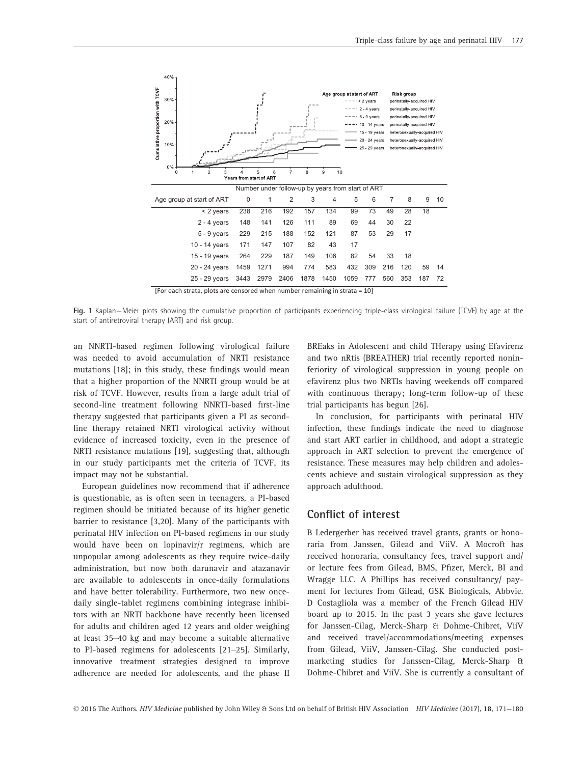

Fig. 1 Kaplan–Meier plots showing the cumulative proportion of participants experiencing triple-class virological failure (TCVF) by age at the start of antiretroviral therapy (ART) and risk group.

an NNRTI-based regimen following virological failure was needed to avoid accumulation of NRTI resistance mutations [18]; in this study, these findings would mean that a higher proportion of the NNRTI group would be at risk of TCVF. However, results from a large adult trial of second-line treatment following NNRTI-based first-line therapy suggested that participants given a PI as secondline therapy retained NRTI virological activity without evidence of increased toxicity, even in the presence of NRTI resistance mutations [19], suggesting that, although in our study participants met the criteria of TCVF, its impact may not be substantial.

European guidelines now recommend that if adherence is questionable, as is often seen in teenagers, a PI-based regimen should be initiated because of its higher genetic barrier to resistance [3,20]. Many of the participants with perinatal HIV infection on PI-based regimens in our study would have been on lopinavir/r regimens, which are unpopular among adolescents as they require twice-daily administration, but now both darunavir and atazanavir are available to adolescents in once-daily formulations and have better tolerability. Furthermore, two new oncedaily single-tablet regimens combining integrase inhibitors with an NRTI backbone have recently been licensed for adults and children aged 12 years and older weighing at least 35–40 kg and may become a suitable alternative to PI-based regimens for adolescents [21–25]. Similarly, innovative treatment strategies designed to improve adherence are needed for adolescents, and the phase II BREaks in Adolescent and child THerapy using Efavirenz and two nRtis (BREATHER) trial recently reported noninferiority of virological suppression in young people on efavirenz plus two NRTIs having weekends off compared with continuous therapy; long-term follow-up of these trial participants has begun [26].

In conclusion, for participants with perinatal HIV infection, these findings indicate the need to diagnose and start ART earlier in childhood, and adopt a strategic approach in ART selection to prevent the emergence of resistance. These measures may help children and adolescents achieve and sustain virological suppression as they approach adulthood.

# Conflict of interest

B Ledergerber has received travel grants, grants or honoraria from Janssen, Gilead and ViiV. A Mocroft has received honoraria, consultancy fees, travel support and/ or lecture fees from Gilead, BMS, Pfizer, Merck, BI and Wragge LLC. A Phillips has received consultancy/ payment for lectures from Gilead, GSK Biologicals, Abbvie. D Costagliola was a member of the French Gilead HIV board up to 2015. In the past 3 years she gave lectures for Janssen-Cilag, Merck-Sharp & Dohme-Chibret, ViiV and received travel/accommodations/meeting expenses from Gilead, ViiV, Janssen-Cilag. She conducted postmarketing studies for Janssen-Cilag, Merck-Sharp & Dohme-Chibret and ViiV. She is currently a consultant of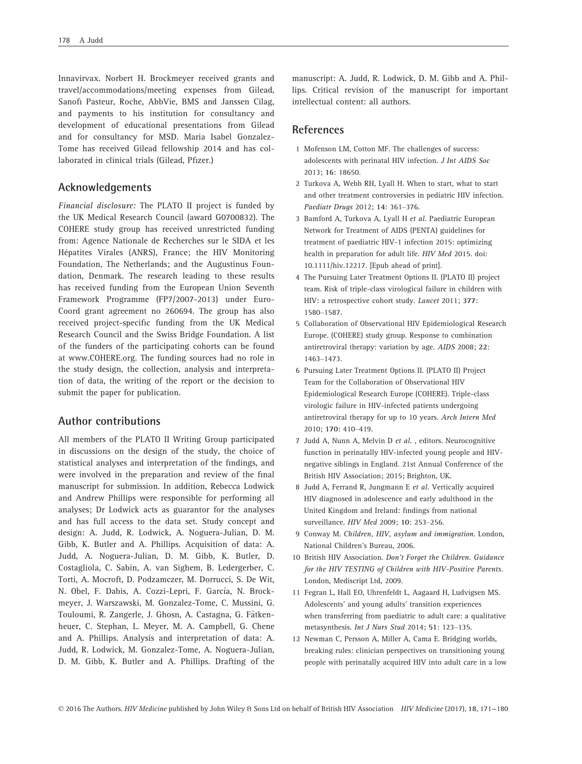Innavirvax. Norbert H. Brockmeyer received grants and travel/accommodations/meeting expenses from Gilead, Sanofi Pasteur, Roche, AbbVie, BMS and Janssen Cilag, and payments to his institution for consultancy and development of educational presentations from Gilead and for consultancy for MSD. Maria Isabel Gonzalez-Tome has received Gilead fellowship 2014 and has collaborated in clinical trials (Gilead, Pfizer.)

#### Acknowledgements

Financial disclosure: The PLATO II project is funded by the UK Medical Research Council (award G0700832). The COHERE study group has received unrestricted funding from: Agence Nationale de Recherches sur le SIDA et les Hepatites Virales (ANRS), France; the HIV Monitoring Foundation, The Netherlands; and the Augustinus Foundation, Denmark. The research leading to these results has received funding from the European Union Seventh Framework Programme (FP7/2007-2013) under Euro-Coord grant agreement no 260694. The group has also received project-specific funding from the UK Medical Research Council and the Swiss Bridge Foundation. A list of the funders of the participating cohorts can be found at www.COHERE.org. The funding sources had no role in the study design, the collection, analysis and interpretation of data, the writing of the report or the decision to submit the paper for publication.

#### Author contributions

All members of the PLATO II Writing Group participated in discussions on the design of the study, the choice of statistical analyses and interpretation of the findings, and were involved in the preparation and review of the final manuscript for submission. In addition, Rebecca Lodwick and Andrew Phillips were responsible for performing all analyses; Dr Lodwick acts as guarantor for the analyses and has full access to the data set. Study concept and design: A. Judd, R. Lodwick, A. Noguera-Julian, D. M. Gibb, K. Butler and A. Phillips. Acquisition of data: A. Judd, A. Noguera-Julian, D. M. Gibb, K. Butler, D. Costagliola, C. Sabin, A. van Sighem, B. Ledergerber, C. Torti, A. Mocroft, D. Podzamczer, M. Dorrucci, S. De Wit, N. Obel, F. Dabis, A. Cozzi-Lepri, F. García, N. Brockmeyer, J. Warszawski, M. Gonzalez-Tome, C. Mussini, G. Touloumi, R. Zangerle, J. Ghosn, A. Castagna, G. Fätkenheuer, C. Stephan, L. Meyer, M. A. Campbell, G. Chene and A. Phillips. Analysis and interpretation of data: A. Judd, R. Lodwick, M. Gonzalez-Tome, A. Noguera-Julian, D. M. Gibb, K. Butler and A. Phillips. Drafting of the

manuscript: A. Judd, R. Lodwick, D. M. Gibb and A. Phillips. Critical revision of the manuscript for important intellectual content: all authors.

#### **References**

- 1 Mofenson LM, Cotton MF. The challenges of success: adolescents with perinatal HIV infection. J Int AIDS Soc 2013; 16: 18650.
- 2 Turkova A, Webb RH, Lyall H. When to start, what to start and other treatment controversies in pediatric HIV infection. Paediatr Drugs 2012; 14: 361–376.
- 3 Bamford A, Turkova A, Lyall H et al. Paediatric European Network for Treatment of AIDS (PENTA) guidelines for treatment of paediatric HIV-1 infection 2015: optimizing health in preparation for adult life. HIV Med 2015. doi: 10.1111/hiv.12217. [Epub ahead of print].
- 4 The Pursuing Later Treatment Options II. (PLATO II) project team. Risk of triple-class virological failure in children with HIV: a retrospective cohort study. Lancet 2011; 377: 1580–1587.
- 5 Collaboration of Observational HIV Epidemiological Research Europe. (COHERE) study group. Response to combination antiretroviral therapy: variation by age. AIDS 2008; 22: 1463–1473.
- 6 Pursuing Later Treatment Options II. (PLATO II) Project Team for the Collaboration of Observational HIV Epidemiological Research Europe (COHERE). Triple-class virologic failure in HIV-infected patients undergoing antiretroviral therapy for up to 10 years. Arch Intern Med 2010; 170: 410–419.
- 7 Judd A, Nunn A, Melvin D et al. , editors. Neurocognitive function in perinatally HIV-infected young people and HIVnegative siblings in England. 21st Annual Conference of the British HIV Association; 2015; Brighton, UK.
- 8 Judd A, Ferrand R, Jungmann E et al. Vertically acquired HIV diagnosed in adolescence and early adulthood in the United Kingdom and Ireland: findings from national surveillance. HIV Med 2009; 10: 253–256.
- 9 Conway M. Children, HIV, asylum and immigration. London, National Children's Bureau, 2006.
- 10 British HIV Association. Don't Forget the Children. Guidance for the HIV TESTING of Children with HIV-Positive Parents. London, Mediscript Ltd, 2009.
- 11 Fegran L, Hall EO, Uhrenfeldt L, Aagaard H, Ludvigsen MS. Adolescents' and young adults' transition experiences when transferring from paediatric to adult care: a qualitative metasynthesis. Int J Nurs Stud 2014; 51: 123–135.
- 12 Newman C, Persson A, Miller A, Cama E. Bridging worlds, breaking rules: clinician perspectives on transitioning young people with perinatally acquired HIV into adult care in a low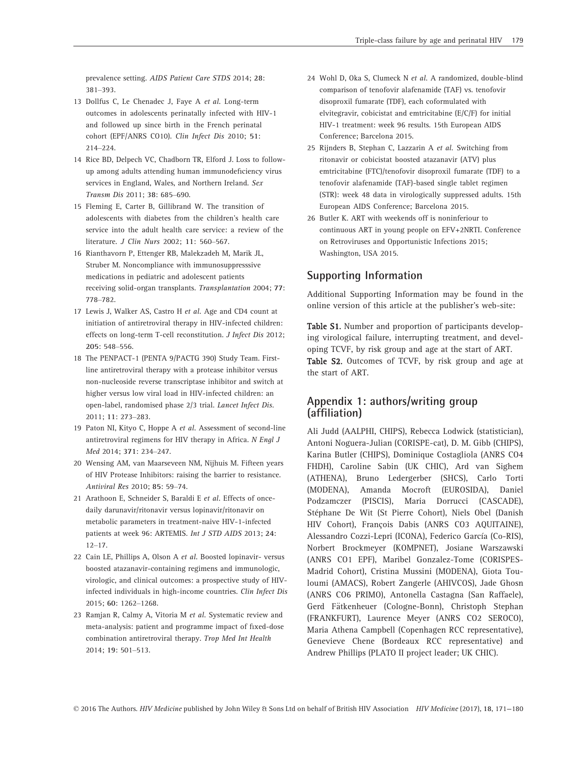prevalence setting. AIDS Patient Care STDS 2014; 28: 381–393.

- 13 Dollfus C, Le Chenadec J, Faye A et al. Long-term outcomes in adolescents perinatally infected with HIV-1 and followed up since birth in the French perinatal cohort (EPF/ANRS CO10). Clin Infect Dis 2010; 51: 214–224.
- 14 Rice BD, Delpech VC, Chadborn TR, Elford J. Loss to followup among adults attending human immunodeficiency virus services in England, Wales, and Northern Ireland. Sex Transm Dis 2011; 38: 685–690.
- 15 Fleming E, Carter B, Gillibrand W. The transition of adolescents with diabetes from the children's health care service into the adult health care service: a review of the literature. J Clin Nurs 2002; 11: 560–567.
- 16 Rianthavorn P, Ettenger RB, Malekzadeh M, Marik JL, Struber M. Noncompliance with immunosuppresssive medications in pediatric and adolescent patients receiving solid-organ transplants. Transplantation 2004; 77: 778–782.
- 17 Lewis J, Walker AS, Castro H et al. Age and CD4 count at initiation of antiretroviral therapy in HIV-infected children: effects on long-term T-cell reconstitution. J Infect Dis 2012; 205: 548–556.
- 18 The PENPACT-1 (PENTA 9/PACTG 390) Study Team. Firstline antiretroviral therapy with a protease inhibitor versus non-nucleoside reverse transcriptase inhibitor and switch at higher versus low viral load in HIV-infected children: an open-label, randomised phase 2/3 trial. Lancet Infect Dis. 2011; 11: 273–283.
- 19 Paton NI, Kityo C, Hoppe A et al. Assessment of second-line antiretroviral regimens for HIV therapy in Africa. N Engl J Med 2014; 371: 234–247.
- 20 Wensing AM, van Maarseveen NM, Nijhuis M. Fifteen years of HIV Protease Inhibitors: raising the barrier to resistance. Antiviral Res 2010; 85: 59–74.
- 21 Arathoon E, Schneider S, Baraldi E et al. Effects of oncedaily darunavir/ritonavir versus lopinavir/ritonavir on metabolic parameters in treatment-naive HIV-1-infected patients at week 96: ARTEMIS. Int J STD AIDS 2013; 24: 12–17.
- 22 Cain LE, Phillips A, Olson A et al. Boosted lopinavir- versus boosted atazanavir-containing regimens and immunologic, virologic, and clinical outcomes: a prospective study of HIVinfected individuals in high-income countries. Clin Infect Dis 2015; 60: 1262–1268.
- 23 Ramjan R, Calmy A, Vitoria M et al. Systematic review and meta-analysis: patient and programme impact of fixed-dose combination antiretroviral therapy. Trop Med Int Health 2014; 19: 501–513.
- 24 Wohl D, Oka S, Clumeck N et al. A randomized, double-blind comparison of tenofovir alafenamide (TAF) vs. tenofovir disoproxil fumarate (TDF), each coformulated with elvitegravir, cobicistat and emtricitabine (E/C/F) for initial HIV-1 treatment: week 96 results. 15th European AIDS Conference; Barcelona 2015.
- 25 Rijnders B, Stephan C, Lazzarin A et al. Switching from ritonavir or cobicistat boosted atazanavir (ATV) plus emtricitabine (FTC)/tenofovir disoproxil fumarate (TDF) to a tenofovir alafenamide (TAF)-based single tablet regimen (STR): week 48 data in virologically suppressed adults. 15th European AIDS Conference; Barcelona 2015.
- 26 Butler K. ART with weekends off is noninferiour to continuous ART in young people on EFV+2NRTI. Conference on Retroviruses and Opportunistic Infections 2015; Washington, USA 2015.

# Supporting Information

Additional Supporting Information may be found in the online version of this article at the publisher's web-site:

Table S1. Number and proportion of participants developing virological failure, interrupting treatment, and developing TCVF, by risk group and age at the start of ART. Table S2. Outcomes of TCVF, by risk group and age at the start of ART.

# Appendix 1: authors/writing group (affiliation)

Ali Judd (AALPHI, CHIPS), Rebecca Lodwick (statistician), Antoni Noguera-Julian (CORISPE-cat), D. M. Gibb (CHIPS), Karina Butler (CHIPS), Dominique Costagliola (ANRS CO4 FHDH), Caroline Sabin (UK CHIC), Ard van Sighem (ATHENA), Bruno Ledergerber (SHCS), Carlo Torti (MODENA), Amanda Mocroft (EUROSIDA), Daniel Podzamczer (PISCIS), Maria Dorrucci (CASCADE), Stéphane De Wit (St Pierre Cohort), Niels Obel (Danish HIV Cohort), Francois Dabis (ANRS CO3 AQUITAINE), Alessandro Cozzi-Lepri (ICONA), Federico García (Co-RIS), Norbert Brockmeyer (KOMPNET), Josiane Warszawski (ANRS CO1 EPF), Maribel Gonzalez-Tome (CORISPES-Madrid Cohort), Cristina Mussini (MODENA), Giota Touloumi (AMACS), Robert Zangerle (AHIVCOS), Jade Ghosn (ANRS CO6 PRIMO), Antonella Castagna (San Raffaele), Gerd Fätkenheuer (Cologne-Bonn), Christoph Stephan (FRANKFURT), Laurence Meyer (ANRS CO2 SEROCO), Maria Athena Campbell (Copenhagen RCC representative), Genevieve Chene (Bordeaux RCC representative) and Andrew Phillips (PLATO II project leader; UK CHIC).